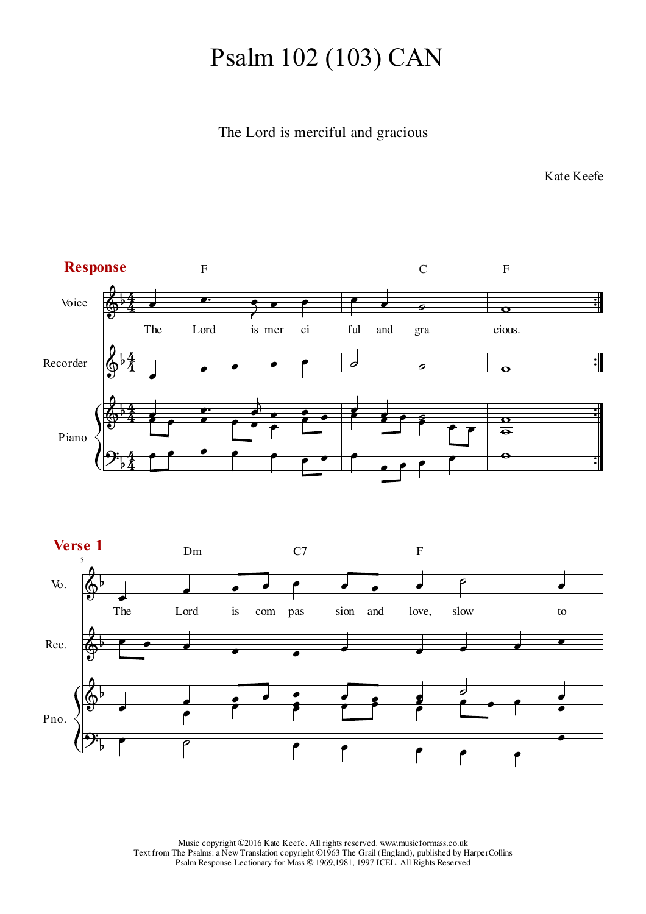## Psalm 102 (103) CAN

## The Lord is merciful and gracious

Kate Keefe



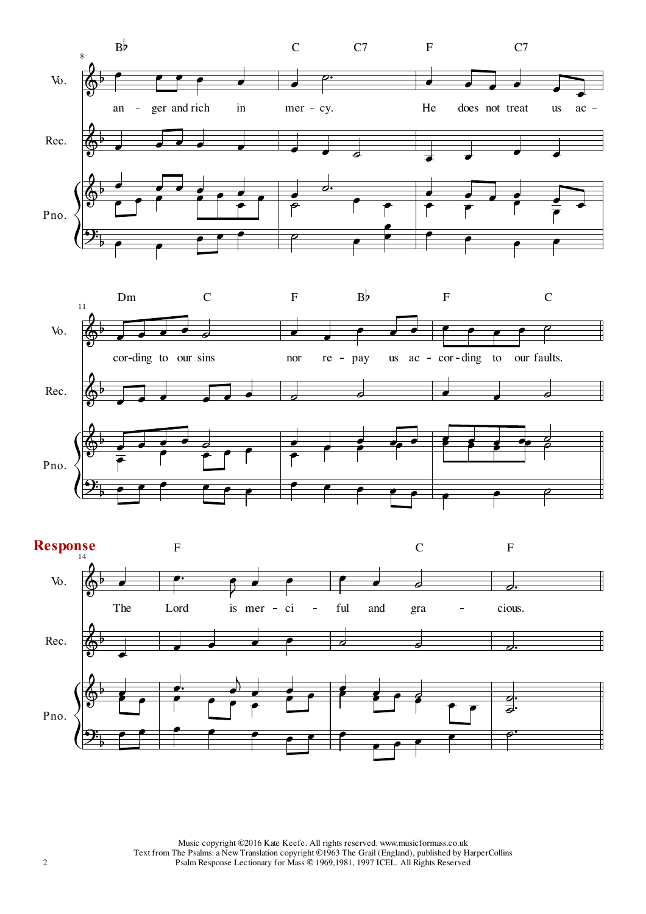



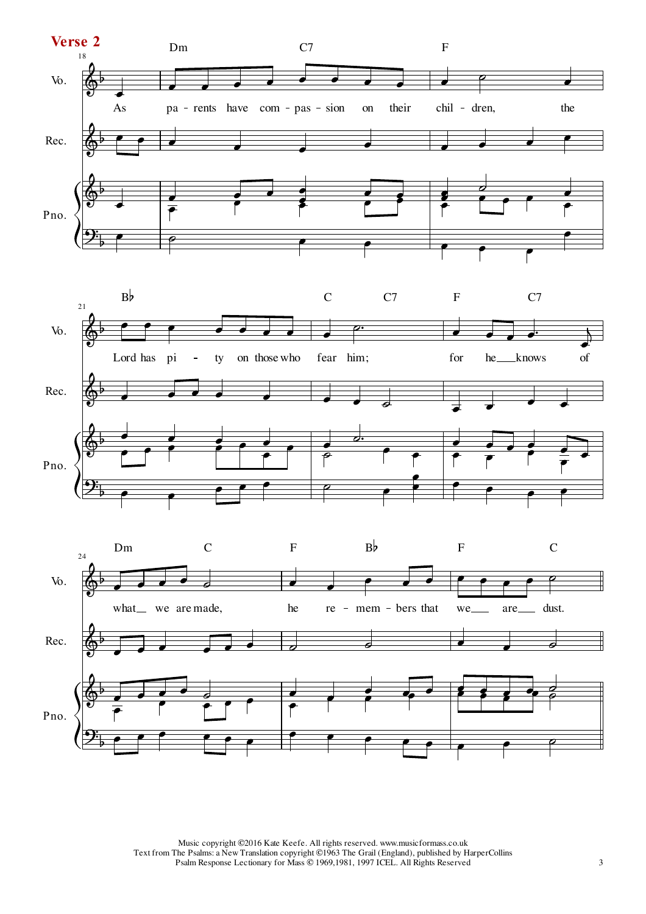



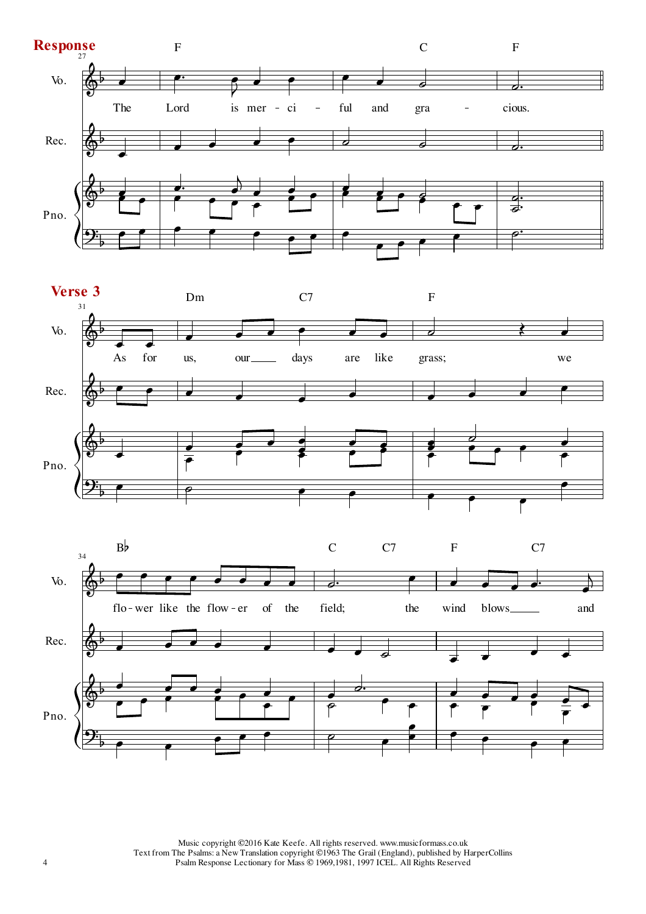



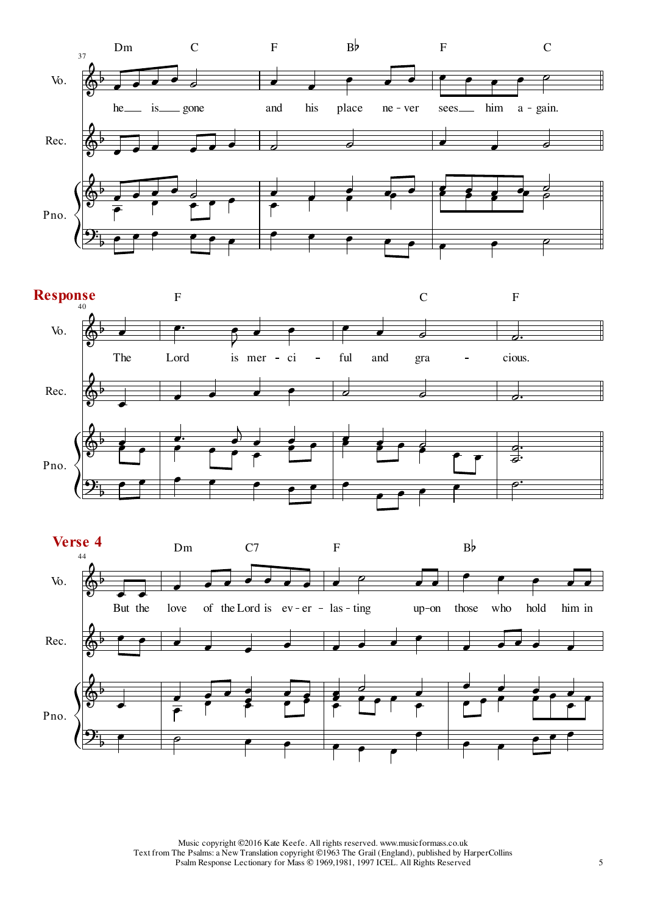